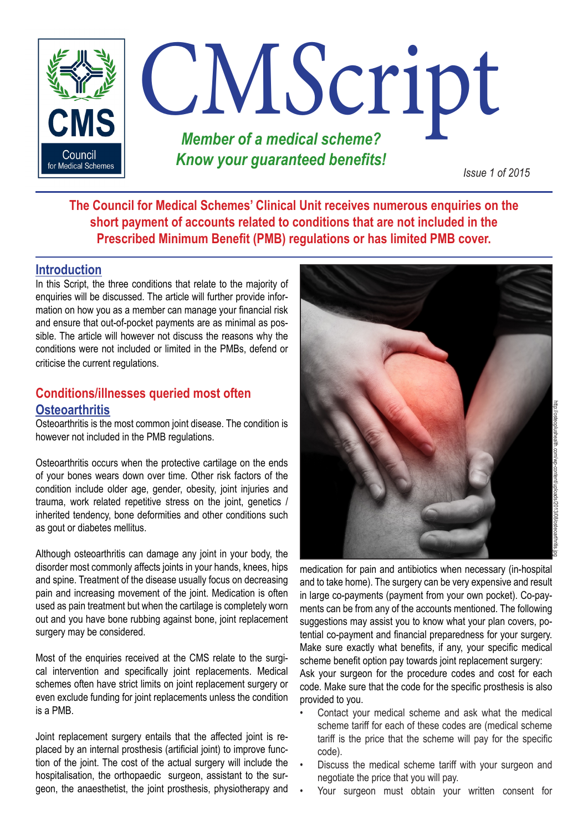

**The Council for Medical Schemes' Clinical Unit receives numerous enquiries on the short payment of accounts related to conditions that are not included in the Prescribed Minimum Benefit (PMB) regulations or has limited PMB cover.** 

## **Introduction**

In this Script, the three conditions that relate to the majority of enquiries will be discussed. The article will further provide information on how you as a member can manage your financial risk and ensure that out-of-pocket payments are as minimal as possible. The article will however not discuss the reasons why the conditions were not included or limited in the PMBs, defend or criticise the current regulations.

# **Conditions/illnesses queried most often Osteoarthritis**

Osteoarthritis is the most common joint disease. The condition is however not included in the PMB regulations.

Osteoarthritis occurs when the protective cartilage on the ends of your bones wears down over time. Other risk factors of the condition include older age, gender, obesity, joint injuries and trauma, work related repetitive stress on the joint, genetics / inherited tendency, bone deformities and other conditions such as gout or diabetes mellitus.

Although osteoarthritis can damage any joint in your body, the disorder most commonly affects joints in your hands, knees, hips and spine. Treatment of the disease usually focus on decreasing pain and increasing movement of the joint. Medication is often used as pain treatment but when the cartilage is completely worn out and you have bone rubbing against bone, joint replacement surgery may be considered.

Most of the enquiries received at the CMS relate to the surgical intervention and specifically joint replacements. Medical schemes often have strict limits on joint replacement surgery or even exclude funding for joint replacements unless the condition is a PMB.

Joint replacement surgery entails that the affected joint is replaced by an internal prosthesis (artificial joint) to improve function of the joint. The cost of the actual surgery will include the hospitalisation, the orthopaedic surgeon, assistant to the surgeon, the anaesthetist, the joint prosthesis, physiotherapy and



medication for pain and antibiotics when necessary (in-hospital and to take home). The surgery can be very expensive and result in large co-payments (payment from your own pocket). Co-payments can be from any of the accounts mentioned. The following suggestions may assist you to know what your plan covers, potential co-payment and financial preparedness for your surgery. Make sure exactly what benefits, if any, your specific medical scheme benefit option pay towards joint replacement surgery:

Ask your surgeon for the procedure codes and cost for each code. Make sure that the code for the specific prosthesis is also provided to you.

- Contact your medical scheme and ask what the medical scheme tariff for each of these codes are (medical scheme tariff is the price that the scheme will pay for the specific code).
- Discuss the medical scheme tariff with your surgeon and negotiate the price that you will pay.
- Your surgeon must obtain your written consent for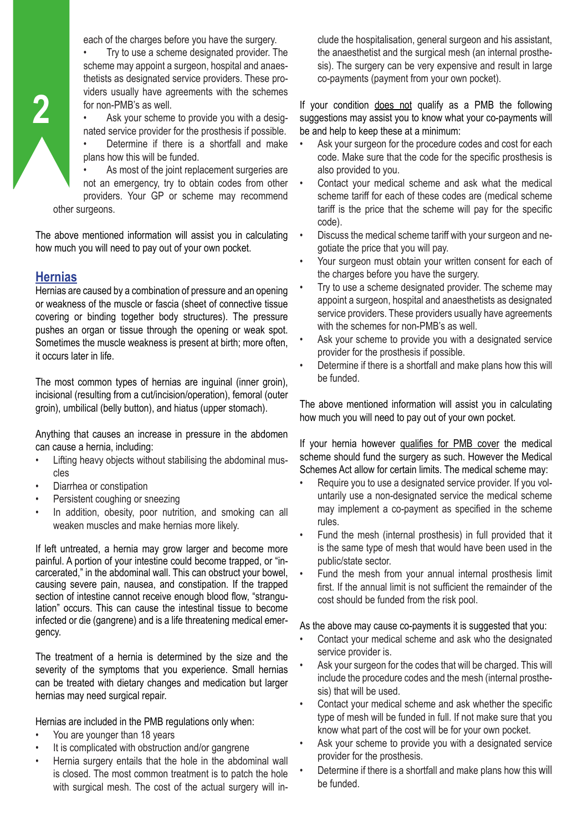each of the charges before you have the surgery.

• Try to use a scheme designated provider. The scheme may appoint a surgeon, hospital and anaesthetists as designated service providers. These providers usually have agreements with the schemes for non-PMB's as well.

Ask your scheme to provide you with a designated service provider for the prosthesis if possible.

Determine if there is a shortfall and make plans how this will be funded.

As most of the joint replacement surgeries are not an emergency, try to obtain codes from other providers. Your GP or scheme may recommend other surgeons.

The above mentioned information will assist you in calculating how much you will need to pay out of your own pocket.

## **Hernias**

Hernias are caused by a combination of pressure and an opening or weakness of the muscle or fascia (sheet of connective tissue covering or binding together body structures). The pressure pushes an organ or tissue through the opening or weak spot. Sometimes the muscle weakness is present at birth; more often, it occurs later in life.

The most common types of hernias are inguinal (inner groin), incisional (resulting from a cut/incision/operation), femoral (outer groin), umbilical (belly button), and hiatus (upper stomach).

Anything that causes an increase in pressure in the abdomen can cause a hernia, including:

- Lifting heavy objects without stabilising the abdominal muscles
- Diarrhea or constipation
- Persistent coughing or sneezing
- In addition, obesity, poor nutrition, and smoking can all weaken muscles and make hernias more likely.

If left untreated, a hernia may grow larger and become more painful. A portion of your intestine could become trapped, or "incarcerated," in the abdominal wall. This can obstruct your bowel, causing severe pain, nausea, and constipation. If the trapped section of intestine cannot receive enough blood flow, "strangulation" occurs. This can cause the intestinal tissue to become infected or die (gangrene) and is a life threatening medical emergency.

The treatment of a hernia is determined by the size and the severity of the symptoms that you experience. Small hernias can be treated with dietary changes and medication but larger hernias may need surgical repair.

Hernias are included in the PMB regulations only when:

- You are younger than 18 years
- It is complicated with obstruction and/or gangrene
- Hernia surgery entails that the hole in the abdominal wall is closed. The most common treatment is to patch the hole with surgical mesh. The cost of the actual surgery will in-

clude the hospitalisation, general surgeon and his assistant, the anaesthetist and the surgical mesh (an internal prosthesis). The surgery can be very expensive and result in large co-payments (payment from your own pocket).

If your condition does not qualify as a PMB the following suggestions may assist you to know what your co-payments will be and help to keep these at a minimum:

- Ask your surgeon for the procedure codes and cost for each code. Make sure that the code for the specific prosthesis is also provided to you.
- Contact your medical scheme and ask what the medical scheme tariff for each of these codes are (medical scheme tariff is the price that the scheme will pay for the specific code).
- Discuss the medical scheme tariff with your surgeon and negotiate the price that you will pay.
- Your surgeon must obtain your written consent for each of the charges before you have the surgery.
- Try to use a scheme designated provider. The scheme may appoint a surgeon, hospital and anaesthetists as designated service providers. These providers usually have agreements with the schemes for non-PMB's as well.
- Ask your scheme to provide you with a designated service provider for the prosthesis if possible.
- Determine if there is a shortfall and make plans how this will be funded.

The above mentioned information will assist you in calculating how much you will need to pay out of your own pocket.

If your hernia however qualifies for PMB cover the medical scheme should fund the surgery as such. However the Medical Schemes Act allow for certain limits. The medical scheme may:

- Require you to use a designated service provider. If you voluntarily use a non-designated service the medical scheme may implement a co-payment as specified in the scheme rules.
- Fund the mesh (internal prosthesis) in full provided that it is the same type of mesh that would have been used in the public/state sector.
- Fund the mesh from your annual internal prosthesis limit first. If the annual limit is not sufficient the remainder of the cost should be funded from the risk pool.

As the above may cause co-payments it is suggested that you:

- Contact your medical scheme and ask who the designated service provider is.
- Ask your surgeon for the codes that will be charged. This will include the procedure codes and the mesh (internal prosthesis) that will be used.
- Contact your medical scheme and ask whether the specific type of mesh will be funded in full. If not make sure that you know what part of the cost will be for your own pocket.
- Ask your scheme to provide you with a designated service provider for the prosthesis.
- Determine if there is a shortfall and make plans how this will be funded.

**2**